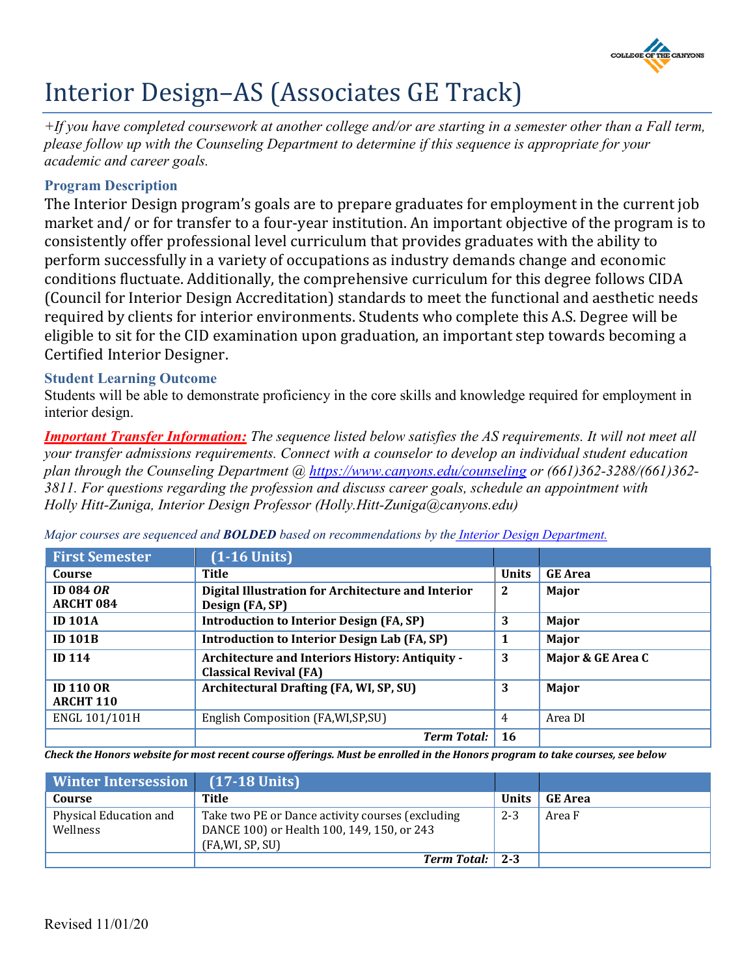

# Interior Design–AS (Associates GE Track)

*+If you have completed coursework at another college and/or are starting in a semester other than a Fall term, please follow up with the Counseling Department to determine if this sequence is appropriate for your academic and career goals.*

## **Program Description**

The Interior Design program's goals are to prepare graduates for employment in the current job market and/ or for transfer to a four-year institution. An important objective of the program is to consistently offer professional level curriculum that provides graduates with the ability to perform successfully in a variety of occupations as industry demands change and economic conditions fluctuate. Additionally, the comprehensive curriculum for this degree follows CIDA (Council for Interior Design Accreditation) standards to meet the functional and aesthetic needs required by clients for interior environments. Students who complete this A.S. Degree will be eligible to sit for the CID examination upon graduation, an important step towards becoming a Certified Interior Designer.

## **Student Learning Outcome**

Students will be able to demonstrate proficiency in the core skills and knowledge required for employment in interior design.

*Important Transfer Information: The sequence listed below satisfies the AS requirements. It will not meet all your transfer admissions requirements. Connect with a counselor to develop an individual student education plan through the Counseling Department @<https://www.canyons.edu/counseling> or (661)362-3288/(661)362- 3811. For questions regarding the profession and discuss career goals, schedule an appointment with Holly Hitt-Zuniga, Interior Design Professor (Holly.Hitt-Zuniga@canyons.edu)*

| <b>First Semester</b>                | $(1-16$ Units)                                                                   |              |                   |
|--------------------------------------|----------------------------------------------------------------------------------|--------------|-------------------|
| Course                               | Title                                                                            | <b>Units</b> | <b>GE</b> Area    |
| <b>ID 084 OR</b><br><b>ARCHT 084</b> | Digital Illustration for Architecture and Interior<br>Design (FA, SP)            | $\mathbf{2}$ | Major             |
| <b>ID 101A</b>                       | <b>Introduction to Interior Design (FA, SP)</b>                                  | 3            | Major             |
| <b>ID 101B</b>                       | <b>Introduction to Interior Design Lab (FA, SP)</b>                              |              | Major             |
| <b>ID 114</b>                        | Architecture and Interiors History: Antiquity -<br><b>Classical Revival (FA)</b> | 3            | Major & GE Area C |
| <b>ID 110 OR</b><br><b>ARCHT 110</b> | Architectural Drafting (FA, WI, SP, SU)                                          | 3            | Major             |
| ENGL 101/101H                        | English Composition (FA, WI, SP, SU)                                             | 4            | Area DI           |
|                                      | <b>Term Total:</b>                                                               | <b>16</b>    |                   |

*Major courses are sequenced and BOLDED based on recommendations by the [Interior Design Department.](https://www.canyons.edu/academics/interiordesign/index.php)*

*Check the Honors website for most recent course offerings. Must be enrolled in the Honors program to take courses, see below*

| <b>Winter Intersession</b>         | $(17-18$ Units)                                                                                                   |              |                |
|------------------------------------|-------------------------------------------------------------------------------------------------------------------|--------------|----------------|
| Course                             | Title                                                                                                             | <b>Units</b> | <b>GE</b> Area |
| Physical Education and<br>Wellness | Take two PE or Dance activity courses (excluding<br>DANCE 100) or Health 100, 149, 150, or 243<br>(FA,WI, SP, SU) | $2 - 3$      | Area F         |
|                                    | Term Total:   2-3                                                                                                 |              |                |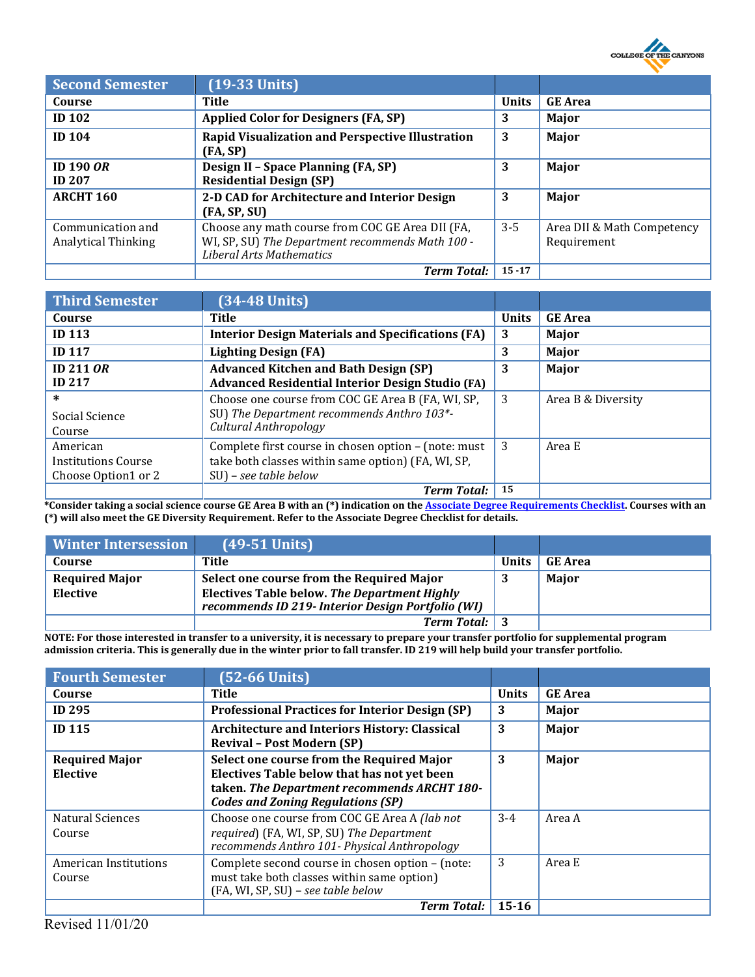

| <b>Second Semester</b>                   | $(19-33$ Units)                                                                                                                         |              |                                           |
|------------------------------------------|-----------------------------------------------------------------------------------------------------------------------------------------|--------------|-------------------------------------------|
| Course                                   | Title                                                                                                                                   | <b>Units</b> | <b>GE</b> Area                            |
| <b>ID 102</b>                            | <b>Applied Color for Designers (FA, SP)</b>                                                                                             | 3            | Major                                     |
| <b>ID 104</b>                            | <b>Rapid Visualization and Perspective Illustration</b><br>(FA, SP)                                                                     | 3            | Major                                     |
| ID 190 $OR$<br><b>ID 207</b>             | <b>Design II - Space Planning (FA, SP)</b><br><b>Residential Design (SP)</b>                                                            | 3            | Major                                     |
| <b>ARCHT 160</b>                         | 2-D CAD for Architecture and Interior Design<br>(FA, SP, SU)                                                                            | 3            | Major                                     |
| Communication and<br>Analytical Thinking | Choose any math course from COC GE Area DII (FA,<br>WI, SP, SU) The Department recommends Math 100 -<br><b>Liberal Arts Mathematics</b> | $3 - 5$      | Area DII & Math Competency<br>Requirement |
|                                          | <b>Term Total:</b>                                                                                                                      | $15 - 17$    |                                           |

| <b>Third Semester</b>      | $(34-48$ Units)                                          |              |                    |
|----------------------------|----------------------------------------------------------|--------------|--------------------|
| Course                     | Title                                                    | <b>Units</b> | <b>GE</b> Area     |
| <b>ID 113</b>              | <b>Interior Design Materials and Specifications (FA)</b> | 3            | Major              |
| <b>ID 117</b>              | <b>Lighting Design (FA)</b>                              | 3            | Major              |
| ID 211 $OR$                | <b>Advanced Kitchen and Bath Design (SP)</b>             | 3            | Major              |
| <b>ID 217</b>              | <b>Advanced Residential Interior Design Studio (FA)</b>  |              |                    |
| $\ast$                     | Choose one course from COC GE Area B (FA, WI, SP,        | 3            | Area B & Diversity |
| Social Science             | SU) The Department recommends Anthro 103*-               |              |                    |
| Course                     | Cultural Anthropology                                    |              |                    |
| American                   | Complete first course in chosen option - (note: must     | 3            | Area E             |
| <b>Institutions Course</b> | take both classes within same option) (FA, WI, SP,       |              |                    |
| Choose Option1 or 2        | $SU$ ) – see table below                                 |              |                    |
|                            | <b>Term Total:</b>                                       | 15           |                    |

**\*Consider taking a social science course GE Area B with an (\*) indication on th[e Associate Degree Requirements Checklist.](https://www.canyons.edu/studentservices/counseling/degrees/generaled.php) Courses with an (\*) will also meet the GE Diversity Requirement. Refer to the Associate Degree Checklist for details.**

| <b>Winter Intersession</b>        | $(49-51$ Units)                                                                                                                                       |              |                |
|-----------------------------------|-------------------------------------------------------------------------------------------------------------------------------------------------------|--------------|----------------|
| Course                            | Title                                                                                                                                                 | <b>Units</b> | <b>GE Area</b> |
| <b>Required Major</b><br>Elective | Select one course from the Required Major<br><b>Electives Table below. The Department Highly</b><br>recommends ID 219- Interior Design Portfolio (WI) | J            | Major          |
|                                   | <b>Term Total:</b> 3                                                                                                                                  |              |                |

**NOTE: For those interested in transfer to a university, it is necessary to prepare your transfer portfolio for supplemental program admission criteria. This is generally due in the winter prior to fall transfer. ID 219 will help build your transfer portfolio.**

| <b>Fourth Semester</b>            | $(52-66$ Units)                                                                                                                                                                     |              |                |
|-----------------------------------|-------------------------------------------------------------------------------------------------------------------------------------------------------------------------------------|--------------|----------------|
| Course                            | Title                                                                                                                                                                               | <b>Units</b> | <b>GE</b> Area |
| <b>ID 295</b>                     | <b>Professional Practices for Interior Design (SP)</b>                                                                                                                              | 3            | Major          |
| <b>ID 115</b>                     | <b>Architecture and Interiors History: Classical</b><br><b>Revival - Post Modern (SP)</b>                                                                                           | 3            | Major          |
| <b>Required Major</b><br>Elective | Select one course from the Required Major<br>Electives Table below that has not yet been<br>taken. The Department recommends ARCHT 180-<br><b>Codes and Zoning Regulations (SP)</b> | 3            | Major          |
| Natural Sciences<br>Course        | Choose one course from COC GE Area A <i>(lab not</i> )<br>required) (FA, WI, SP, SU) The Department<br>recommends Anthro 101- Physical Anthropology                                 | $3 - 4$      | Area A         |
| American Institutions<br>Course   | Complete second course in chosen option - (note:<br>must take both classes within same option)<br>(FA, WI, SP, SU) - see table below                                                | 3            | Area E         |
|                                   | <b>Term Total:</b>                                                                                                                                                                  | $15 - 16$    |                |

Revised 11/01/20